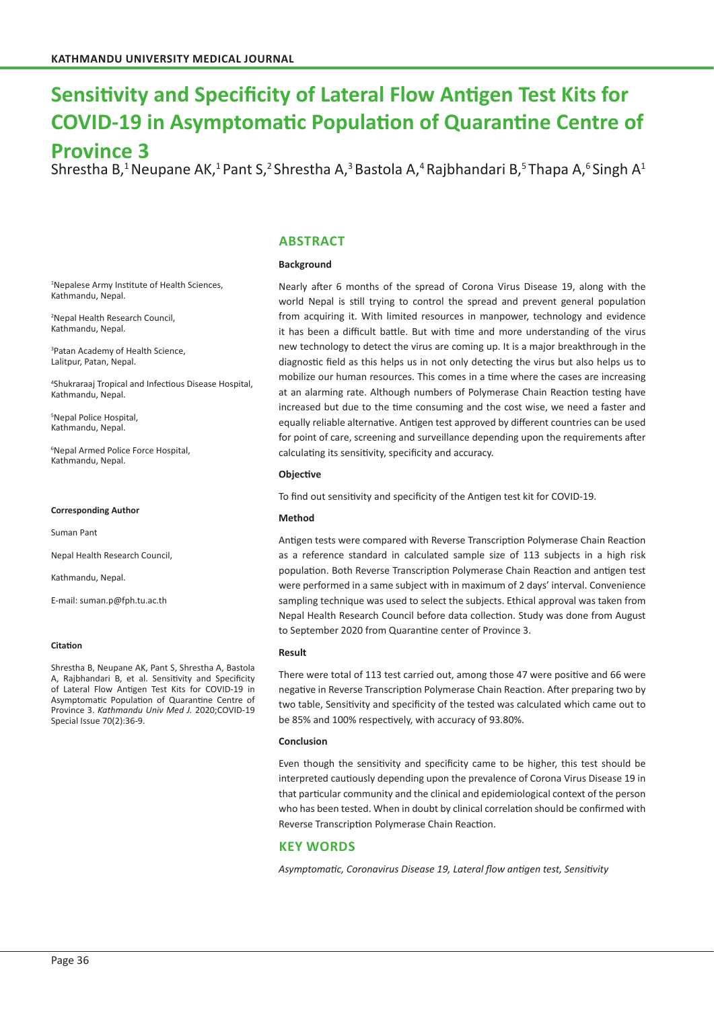# **Sensitivity and Specificity of Lateral Flow Antigen Test Kits for COVID-19 in Asymptomatic Population of Quarantine Centre of**

## **Province 3**

Shrestha B,<sup>1</sup> Neupane AK,<sup>1</sup> Pant S,<sup>2</sup> Shrestha A,<sup>3</sup> Bastola A,<sup>4</sup> Rajbhandari B,<sup>5</sup> Thapa A,<sup>6</sup> Singh A<sup>1</sup>

## **ABSTRACT**

#### **Background**

1 Nepalese Army Institute of Health Sciences, Kathmandu, Nepal.

2 Nepal Health Research Council, Kathmandu, Nepal.

3 Patan Academy of Health Science, Lalitpur, Patan, Nepal.

4 Shukraraaj Tropical and Infectious Disease Hospital, Kathmandu, Nepal.

5 Nepal Police Hospital, Kathmandu, Nepal.

6 Nepal Armed Police Force Hospital, Kathmandu, Nepal.

#### **Corresponding Author**

Suman Pant

Nepal Health Research Council,

Kathmandu, Nepal.

E-mail: suman.p@fph.tu.ac.th

#### **Citation**

Shrestha B, Neupane AK, Pant S, Shrestha A, Bastola A, Rajbhandari B, et al. Sensitivity and Specificity of Lateral Flow Antigen Test Kits for COVID-19 in Asymptomatic Population of Quarantine Centre of Province 3. *Kathmandu Univ Med J.* 2020;COVID-19 Special Issue 70(2):36-9.

Nearly after 6 months of the spread of Corona Virus Disease 19, along with the world Nepal is still trying to control the spread and prevent general population from acquiring it. With limited resources in manpower, technology and evidence it has been a difficult battle. But with time and more understanding of the virus new technology to detect the virus are coming up. It is a major breakthrough in the diagnostic field as this helps us in not only detecting the virus but also helps us to mobilize our human resources. This comes in a time where the cases are increasing at an alarming rate. Although numbers of Polymerase Chain Reaction testing have increased but due to the time consuming and the cost wise, we need a faster and equally reliable alternative. Antigen test approved by different countries can be used for point of care, screening and surveillance depending upon the requirements after calculating its sensitivity, specificity and accuracy.

#### **Objective**

To find out sensitivity and specificity of the Antigen test kit for COVID-19.

#### **Method**

Antigen tests were compared with Reverse Transcription Polymerase Chain Reaction as a reference standard in calculated sample size of 113 subjects in a high risk population. Both Reverse Transcription Polymerase Chain Reaction and antigen test were performed in a same subject with in maximum of 2 days' interval. Convenience sampling technique was used to select the subjects. Ethical approval was taken from Nepal Health Research Council before data collection. Study was done from August to September 2020 from Quarantine center of Province 3.

#### **Result**

There were total of 113 test carried out, among those 47 were positive and 66 were negative in Reverse Transcription Polymerase Chain Reaction. After preparing two by two table, Sensitivity and specificity of the tested was calculated which came out to be 85% and 100% respectively, with accuracy of 93.80%.

#### **Conclusion**

Even though the sensitivity and specificity came to be higher, this test should be interpreted cautiously depending upon the prevalence of Corona Virus Disease 19 in that particular community and the clinical and epidemiological context of the person who has been tested. When in doubt by clinical correlation should be confirmed with Reverse Transcription Polymerase Chain Reaction.

### **KEY WORDS**

*Asymptomatic, Coronavirus Disease 19, Lateral flow antigen test, Sensitivity*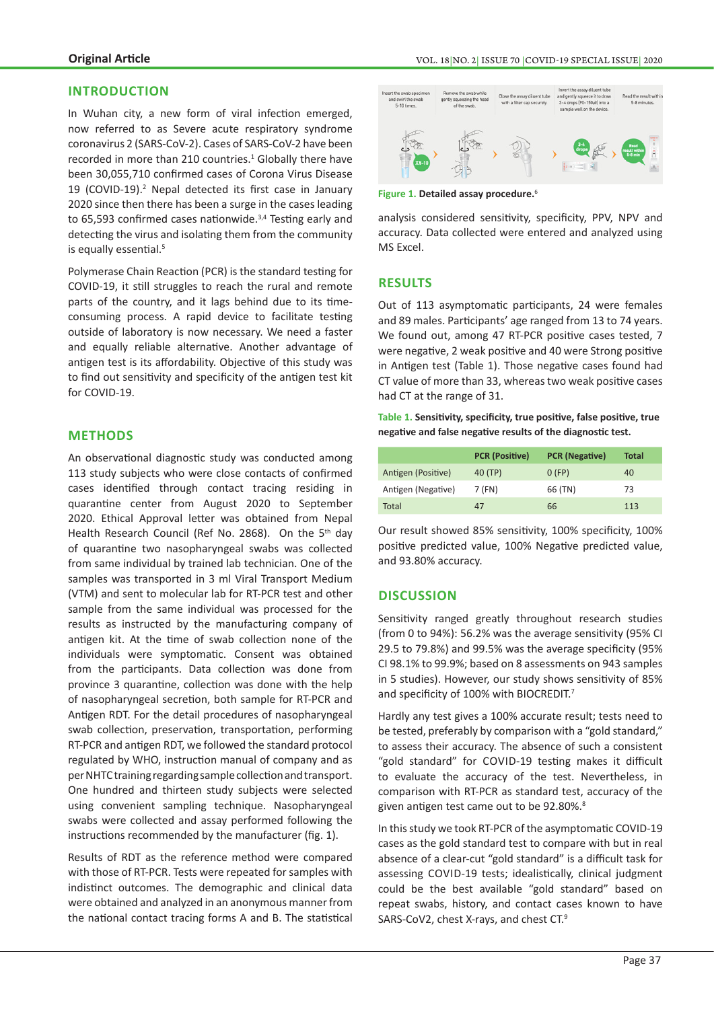## **INTRODUCTION**

In Wuhan city, a new form of viral infection emerged, now referred to as Severe acute respiratory syndrome coronavirus 2 (SARS-CoV-2). Cases of SARS-CoV-2 have been recorded in more than 210 countries. $1$  Globally there have been 30,055,710 confirmed cases of Corona Virus Disease 19 (COVID-19).<sup>2</sup> Nepal detected its first case in January 2020 since then there has been a surge in the cases leading to  $65,593$  confirmed cases nationwide.<sup>3,4</sup> Testing early and detecting the virus and isolating them from the community is equally essential.<sup>5</sup>

Polymerase Chain Reaction (PCR) is the standard testing for COVID-19, it still struggles to reach the rural and remote parts of the country, and it lags behind due to its timeconsuming process. A rapid device to facilitate testing outside of laboratory is now necessary. We need a faster and equally reliable alternative. Another advantage of antigen test is its affordability. Objective of this study was to find out sensitivity and specificity of the antigen test kit for COVID-19.

## **METHODS**

An observational diagnostic study was conducted among 113 study subjects who were close contacts of confirmed cases identified through contact tracing residing in quarantine center from August 2020 to September 2020. Ethical Approval letter was obtained from Nepal Health Research Council (Ref No. 2868). On the 5<sup>th</sup> day of quarantine two nasopharyngeal swabs was collected from same individual by trained lab technician. One of the samples was transported in 3 ml Viral Transport Medium (VTM) and sent to molecular lab for RT-PCR test and other sample from the same individual was processed for the results as instructed by the manufacturing company of antigen kit. At the time of swab collection none of the individuals were symptomatic. Consent was obtained from the participants. Data collection was done from province 3 quarantine, collection was done with the help of nasopharyngeal secretion, both sample for RT-PCR and Antigen RDT. For the detail procedures of nasopharyngeal swab collection, preservation, transportation, performing RT-PCR and antigen RDT, we followed the standard protocol regulated by WHO, instruction manual of company and as per NHTC training regarding sample collection and transport. One hundred and thirteen study subjects were selected using convenient sampling technique. Nasopharyngeal swabs were collected and assay performed following the instructions recommended by the manufacturer (fig. 1).

Results of RDT as the reference method were compared with those of RT-PCR. Tests were repeated for samples with indistinct outcomes. The demographic and clinical data were obtained and analyzed in an anonymous manner from the national contact tracing forms A and B. The statistical



**Figure 1. Detailed assay procedure.**<sup>6</sup>

analysis considered sensitivity, specificity, PPV, NPV and accuracy. Data collected were entered and analyzed using MS Excel.

## **RESULTS**

Out of 113 asymptomatic participants, 24 were females and 89 males. Participants' age ranged from 13 to 74 years. We found out, among 47 RT-PCR positive cases tested, 7 were negative, 2 weak positive and 40 were Strong positive in Antigen test (Table 1). Those negative cases found had CT value of more than 33, whereas two weak positive cases had CT at the range of 31.

**Table 1. Sensitivity, specificity, true positive, false positive, true negative and false negative results of the diagnostic test.** 

|                    | <b>PCR (Positive)</b> | <b>PCR</b> (Negative) | <b>Total</b> |
|--------------------|-----------------------|-----------------------|--------------|
| Antigen (Positive) | 40 (TP)               | O(FP)                 | 40           |
| Antigen (Negative) | 7 (FN)                | 66 (TN)               | 73           |
| Total              | 47                    | 66                    | 113          |

Our result showed 85% sensitivity, 100% specificity, 100% positive predicted value, 100% Negative predicted value, and 93.80% accuracy.

## **DISCUSSION**

Sensitivity ranged greatly throughout research studies (from 0 to 94%): 56.2% was the average sensitivity (95% CI 29.5 to 79.8%) and 99.5% was the average specificity (95% CI 98.1% to 99.9%; based on 8 assessments on 943 samples in 5 studies). However, our study shows sensitivity of 85% and specificity of 100% with BIOCREDIT.7

Hardly any test gives a 100% accurate result; tests need to be tested, preferably by comparison with a "gold standard," to assess their accuracy. The absence of such a consistent "gold standard" for COVID-19 testing makes it difficult to evaluate the accuracy of the test. Nevertheless, in comparison with RT-PCR as standard test, accuracy of the given antigen test came out to be 92.80%.<sup>8</sup>

In this study we took RT-PCR of the asymptomatic COVID-19 cases as the gold standard test to compare with but in real absence of a clear-cut "gold standard" is a difficult task for assessing COVID-19 tests; idealistically, clinical judgment could be the best available "gold standard" based on repeat swabs, history, and contact cases known to have SARS-CoV2, chest X-rays, and chest CT.9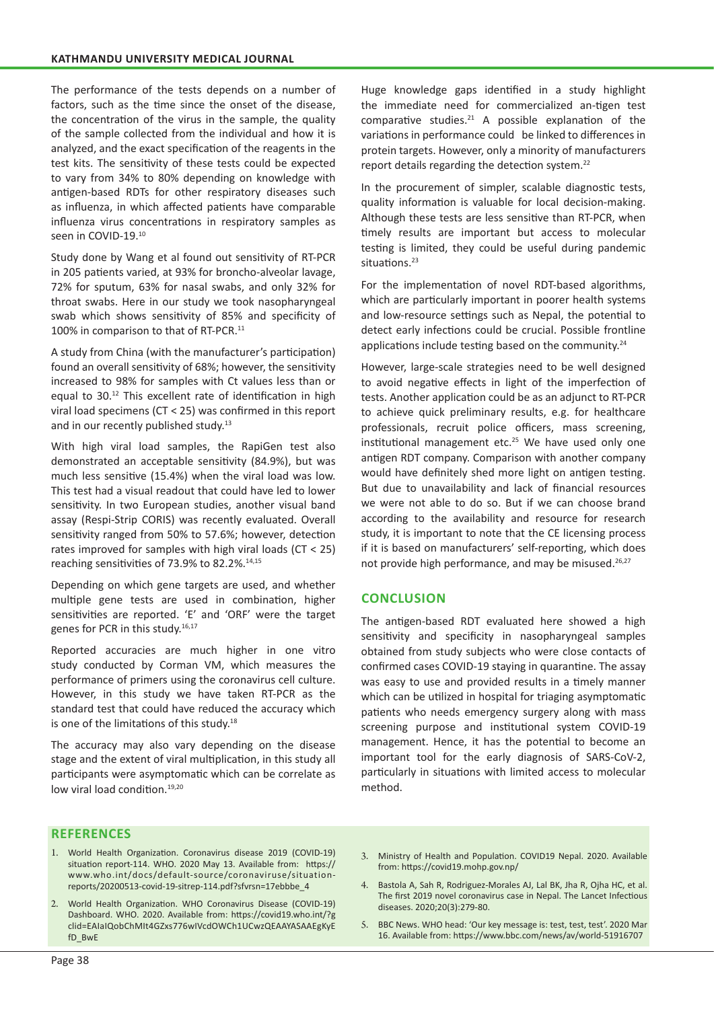The performance of the tests depends on a number of factors, such as the time since the onset of the disease, the concentration of the virus in the sample, the quality of the sample collected from the individual and how it is analyzed, and the exact specification of the reagents in the test kits. The sensitivity of these tests could be expected to vary from 34% to 80% depending on knowledge with antigen-based RDTs for other respiratory diseases such as influenza, in which affected patients have comparable influenza virus concentrations in respiratory samples as seen in COVID-19.<sup>10</sup>

Study done by Wang et al found out sensitivity of RT-PCR in 205 patients varied, at 93% for broncho-alveolar lavage, 72% for sputum, 63% for nasal swabs, and only 32% for throat swabs. Here in our study we took nasopharyngeal swab which shows sensitivity of 85% and specificity of 100% in comparison to that of RT-PCR.<sup>11</sup>

A study from China (with the manufacturer's participation) found an overall sensitivity of 68%; however, the sensitivity increased to 98% for samples with Ct values less than or equal to 30.<sup>12</sup> This excellent rate of identification in high viral load specimens (CT < 25) was confirmed in this report and in our recently published study.<sup>13</sup>

With high viral load samples, the RapiGen test also demonstrated an acceptable sensitivity (84.9%), but was much less sensitive (15.4%) when the viral load was low. This test had a visual readout that could have led to lower sensitivity. In two European studies, another visual band assay (Respi-Strip CORIS) was recently evaluated. Overall sensitivity ranged from 50% to 57.6%; however, detection rates improved for samples with high viral loads (CT < 25) reaching sensitivities of 73.9% to 82.2%.<sup>14,15</sup>

Depending on which gene targets are used, and whether multiple gene tests are used in combination, higher sensitivities are reported. 'E' and 'ORF' were the target genes for PCR in this study.<sup>16,17</sup>

Reported accuracies are much higher in one vitro study conducted by Corman VM, which measures the performance of primers using the coronavirus cell culture. However, in this study we have taken RT-PCR as the standard test that could have reduced the accuracy which is one of the limitations of this study.<sup>18</sup>

The accuracy may also vary depending on the disease stage and the extent of viral multiplication, in this study all participants were asymptomatic which can be correlate as low viral load condition.<sup>19,20</sup>

Huge knowledge gaps identified in a study highlight the immediate need for commercialized an-tigen test comparative studies. $21$  A possible explanation of the variations in performance could be linked to differences in protein targets. However, only a minority of manufacturers report details regarding the detection system.<sup>22</sup>

In the procurement of simpler, scalable diagnostic tests, quality information is valuable for local decision-making. Although these tests are less sensitive than RT-PCR, when timely results are important but access to molecular testing is limited, they could be useful during pandemic situations.<sup>23</sup>

For the implementation of novel RDT-based algorithms, which are particularly important in poorer health systems and low-resource settings such as Nepal, the potential to detect early infections could be crucial. Possible frontline applications include testing based on the community.<sup>24</sup>

However, large-scale strategies need to be well designed to avoid negative effects in light of the imperfection of tests. Another application could be as an adjunct to RT-PCR to achieve quick preliminary results, e.g. for healthcare professionals, recruit police officers, mass screening, institutional management etc. $25$  We have used only one antigen RDT company. Comparison with another company would have definitely shed more light on antigen testing. But due to unavailability and lack of financial resources we were not able to do so. But if we can choose brand according to the availability and resource for research study, it is important to note that the CE licensing process if it is based on manufacturers' self-reporting, which does not provide high performance, and may be misused.<sup>26,27</sup>

## **CONCLUSION**

The antigen-based RDT evaluated here showed a high sensitivity and specificity in nasopharyngeal samples obtained from study subjects who were close contacts of confirmed cases COVID-19 staying in quarantine. The assay was easy to use and provided results in a timely manner which can be utilized in hospital for triaging asymptomatic patients who needs emergency surgery along with mass screening purpose and institutional system COVID-19 management. Hence, it has the potential to become an important tool for the early diagnosis of SARS-CoV-2, particularly in situations with limited access to molecular method.

## **REFERENCES**

- 1. World Health Organization. Coronavirus disease 2019 (COVID-19) situation report-114. WHO. 2020 May 13. Available from: https:// www.who.int/docs/default-source/coronaviruse/situationreports/20200513-covid-19-sitrep-114.pdf?sfvrsn=17ebbbe\_4
- 2. World Health Organization. WHO Coronavirus Disease (COVID-19) Dashboard. WHO. 2020. Available from: https://covid19.who.int/?g clid=EAIaIQobChMIt4GZxs776wIVcdOWCh1UCwzQEAAYASAAEgKyE fD\_BwE
- 3. Ministry of Health and Population. COVID19 Nepal. 2020. Available from: https://covid19.mohp.gov.np/
- 4. Bastola A, Sah R, Rodriguez-Morales AJ, Lal BK, Jha R, Ojha HC, et al. The first 2019 novel coronavirus case in Nepal. The Lancet Infectious diseases. 2020;20(3):279-80.
- 5. BBC News. WHO head: 'Our key message is: test, test, test'. 2020 Mar 16. Available from: https://www.bbc.com/news/av/world-51916707